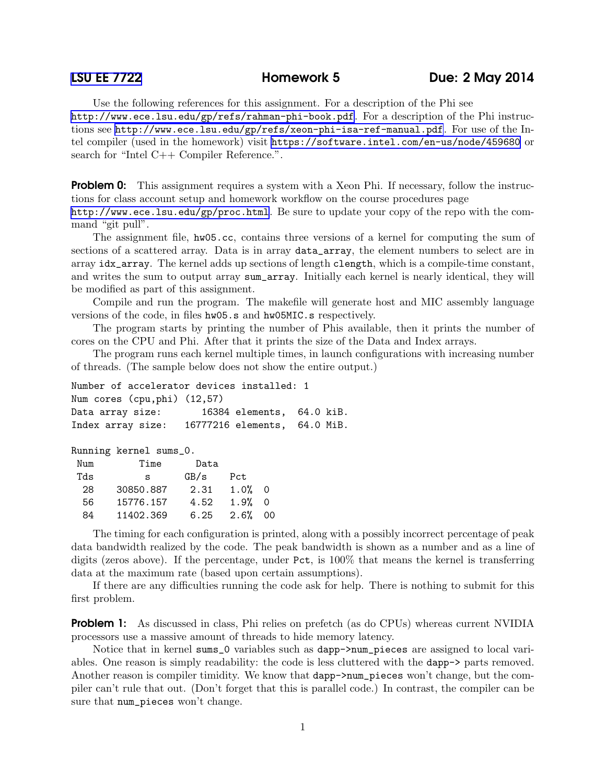Use the following references for this assignment. For a description of the Phi see <http://www.ece.lsu.edu/gp/refs/rahman-phi-book.pdf>. For a description of the Phi instructions see <http://www.ece.lsu.edu/gp/refs/xeon-phi-isa-ref-manual.pdf>. For use of the Intel compiler (used in the homework) visit <https://software.intel.com/en-us/node/459680> or search for "Intel C++ Compiler Reference.".

**Problem 0:** This assignment requires a system with a Xeon Phi. If necessary, follow the instructions for class account setup and homework workflow on the course procedures page <http://www.ece.lsu.edu/gp/proc.html>. Be sure to update your copy of the repo with the command "git pull".

The assignment file, hw05.cc, contains three versions of a kernel for computing the sum of sections of a scattered array. Data is in array data\_array, the element numbers to select are in array idx\_array. The kernel adds up sections of length clength, which is a compile-time constant, and writes the sum to output array sum\_array. Initially each kernel is nearly identical, they will be modified as part of this assignment.

Compile and run the program. The makefile will generate host and MIC assembly language versions of the code, in files hw05.s and hw05MIC.s respectively.

The program starts by printing the number of Phis available, then it prints the number of cores on the CPU and Phi. After that it prints the size of the Data and Index arrays.

The program runs each kernel multiple times, in launch configurations with increasing number of threads. (The sample below does not show the entire output.)

| Number of accelerator devices installed: 1     |                           |  |
|------------------------------------------------|---------------------------|--|
| Num cores (cpu, phi) (12,57)                   |                           |  |
| Data array size:                               | 16384 elements, 64.0 kiB. |  |
| Index array size: 16777216 elements, 64.0 MiB. |                           |  |

Running kernel sums\_0.

| Num | Time      | Data |      |          |
|-----|-----------|------|------|----------|
| Tds | s         | GB/s | Pct  |          |
| 28  | 30850.887 | 2.31 | 1.0% | $\Omega$ |
| 56  | 15776.157 | 4.52 | 1.9% | $\Omega$ |
| 84  | 11402.369 | 6.25 | 2.6% | ΩO       |

The timing for each configuration is printed, along with a possibly incorrect percentage of peak data bandwidth realized by the code. The peak bandwidth is shown as a number and as a line of digits (zeros above). If the percentage, under Pct, is 100% that means the kernel is transferring data at the maximum rate (based upon certain assumptions).

If there are any difficulties running the code ask for help. There is nothing to submit for this first problem.

**Problem 1:** As discussed in class, Phi relies on prefetch (as do CPUs) whereas current NVIDIA processors use a massive amount of threads to hide memory latency.

Notice that in kernel sums\_0 variables such as dapp->num\_pieces are assigned to local variables. One reason is simply readability: the code is less cluttered with the dapp-> parts removed. Another reason is compiler timidity. We know that dapp->num\_pieces won't change, but the compiler can't rule that out. (Don't forget that this is parallel code.) In contrast, the compiler can be sure that num\_pieces won't change.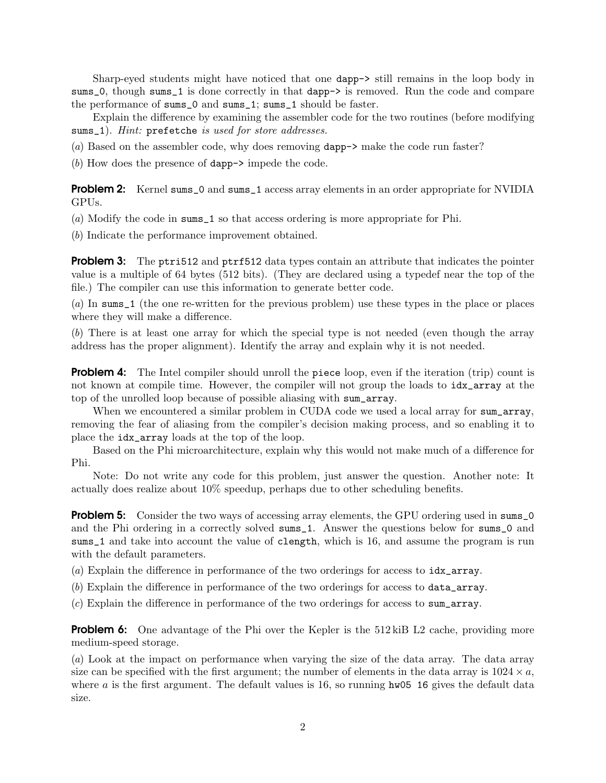Sharp-eyed students might have noticed that one dapp-> still remains in the loop body in sums\_0, though sums\_1 is done correctly in that dapp-> is removed. Run the code and compare the performance of sums\_0 and sums\_1; sums\_1 should be faster.

Explain the difference by examining the assembler code for the two routines (before modifying sums\_1). *Hint:* prefetche *is used for store addresses.*

(*a*) Based on the assembler code, why does removing dapp-> make the code run faster?

(*b*) How does the presence of dapp-> impede the code.

**Problem 2:** Kernel sums\_0 and sums\_1 access array elements in an order appropriate for NVIDIA GPUs.

(*a*) Modify the code in sums\_1 so that access ordering is more appropriate for Phi.

(*b*) Indicate the performance improvement obtained.

**Problem 3:** The ptri512 and ptrf512 data types contain an attribute that indicates the pointer value is a multiple of 64 bytes (512 bits). (They are declared using a typedef near the top of the file.) The compiler can use this information to generate better code.

(*a*) In sums\_1 (the one re-written for the previous problem) use these types in the place or places where they will make a difference.

(*b*) There is at least one array for which the special type is not needed (even though the array address has the proper alignment). Identify the array and explain why it is not needed.

**Problem 4:** The Intel compiler should unroll the piece loop, even if the iteration (trip) count is not known at compile time. However, the compiler will not group the loads to  $\texttt{idx\_array}$  at the top of the unrolled loop because of possible aliasing with sum\_array.

When we encountered a similar problem in CUDA code we used a local array for sum\_array, removing the fear of aliasing from the compiler's decision making process, and so enabling it to place the idx\_array loads at the top of the loop.

Based on the Phi microarchitecture, explain why this would not make much of a difference for Phi.

Note: Do not write any code for this problem, just answer the question. Another note: It actually does realize about 10% speedup, perhaps due to other scheduling benefits.

**Problem 5:** Consider the two ways of accessing array elements, the GPU ordering used in sums\_0 and the Phi ordering in a correctly solved sums\_1. Answer the questions below for sums\_0 and sums\_1 and take into account the value of clength, which is 16, and assume the program is run with the default parameters.

(*a*) Explain the difference in performance of the two orderings for access to idx\_array.

(*b*) Explain the difference in performance of the two orderings for access to data\_array.

(*c*) Explain the difference in performance of the two orderings for access to sum\_array.

**Problem 6:** One advantage of the Phi over the Kepler is the 512 kiB L2 cache, providing more medium-speed storage.

(*a*) Look at the impact on performance when varying the size of the data array. The data array size can be specified with the first argument; the number of elements in the data array is  $1024 \times a$ , where a is the first argument. The default values is 16, so running  $hw05$  16 gives the default data size.